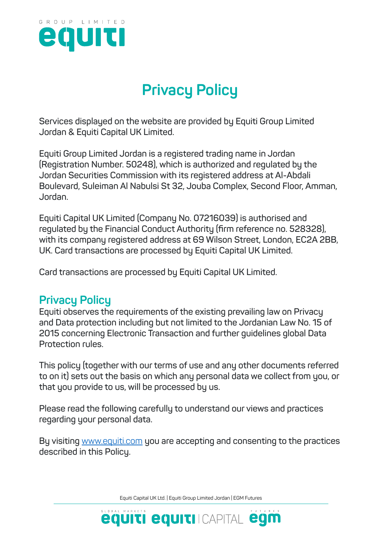

# **Privacy Policy**

**Services displayed on the website are provided by Equiti Group Limited Jordan & Equiti Capital UK Limited.**

**Equiti Group Limited Jordan is a registered trading name in Jordan (Registration Number. 50248), which is authorized and regulated by the Jordan Securities Commission with its registered address at Al-Abdali Boulevard, Suleiman Al Nabulsi St 32, Jouba Complex, Second Floor, Amman, Jordan.**

**Equiti Capital UK Limited (Company No. 07216039) is authorised and regulated by the Financial Conduct Authority (firm reference no. 528328), with its company registered address at 69 Wilson Street, London, EC2A 2BB, UK. Card transactions are processed by Equiti Capital UK Limited.**

**Card transactions are processed by Equiti Capital UK Limited.**

## **Privacy Policy**

**Equiti observes the requirements of the existing prevailing law on Privacy and Data protection including but not limited to the Jordanian Law No. 15 of 2015 concerning Electronic Transaction and further guidelines global Data Protection rules.**

**This policy (together with our terms of use and any other documents referred to on it) sets out the basis on which any personal data we collect from you, or that you provide to us, will be processed by us.**

**Please read the following carefully to understand our views and practices regarding your personal data.**

**By visiting** www.equiti.com **you are accepting and consenting to the practices described in this Policy.**

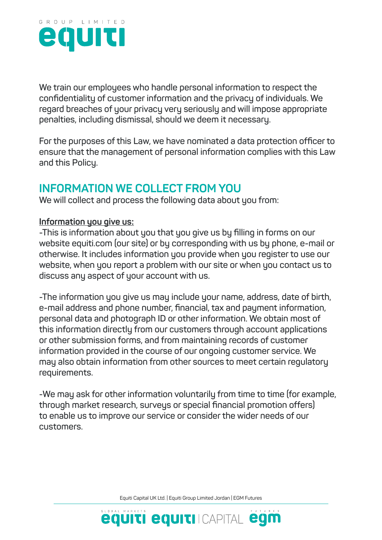

**We train our employees who handle personal information to respect the confidentiality of customer information and the privacy of individuals. We regard breaches of your privacy very seriously and will impose appropriate penalties, including dismissal, should we deem it necessary.**

**For the purposes of this Law, we have nominated a data protection officer to ensure that the management of personal information complies with this Law and this Policy.**

## **INFORMATION WE COLLECT FROM YOU**

**We will collect and process the following data about you from:**

#### **Information you give us:**

**-This is information about you that you give us by filling in forms on our website equiti.com (our site) or by corresponding with us by phone, e-mail or otherwise. It includes information you provide when you register to use our website, when you report a problem with our site or when you contact us to discuss any aspect of your account with us.**

**-The information you give us may include your name, address, date of birth, e-mail address and phone number, financial, tax and payment information, personal data and photograph ID or other information. We obtain most of this information directly from our customers through account applications or other submission forms, and from maintaining records of customer information provided in the course of our ongoing customer service. We may also obtain information from other sources to meet certain regulatory requirements.**

**-We may ask for other information voluntarily from time to time (for example, through market research, surveys or special financial promotion offers) to enable us to improve our service or consider the wider needs of our customers.**

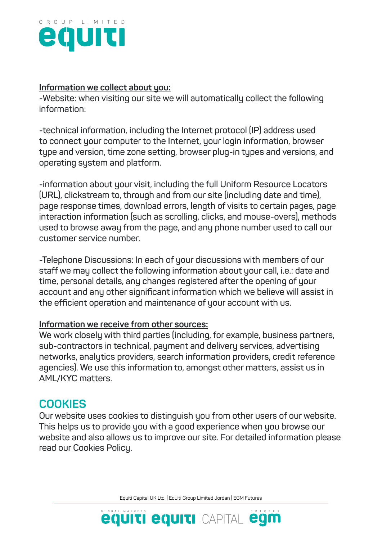

#### **Information we collect about you:**

**-Website: when visiting our site we will automatically collect the following information:**

**-technical information, including the Internet protocol (IP) address used to connect your computer to the Internet, your login information, browser type and version, time zone setting, browser plug-in types and versions, and operating system and platform.**

**-information about your visit, including the full Uniform Resource Locators (URL), clickstream to, through and from our site (including date and time), page response times, download errors, length of visits to certain pages, page interaction information (such as scrolling, clicks, and mouse-overs), methods used to browse away from the page, and any phone number used to call our customer service number.**

**-Telephone Discussions: In each of your discussions with members of our staff we may collect the following information about your call, i.e.: date and time, personal details, any changes registered after the opening of your account and any other significant information which we believe will assist in the efficient operation and maintenance of your account with us.**

#### **Information we receive from other sources:**

**We work closely with third parties (including, for example, business partners, sub-contractors in technical, payment and delivery services, advertising networks, analytics providers, search information providers, credit reference agencies). We use this information to, amongst other matters, assist us in AML/KYC matters.**

## **COOKIES**

**Our website uses cookies to distinguish you from other users of our website. This helps us to provide you with a good experience when you browse our website and also allows us to improve our site. For detailed information please read our Cookies Policy.**

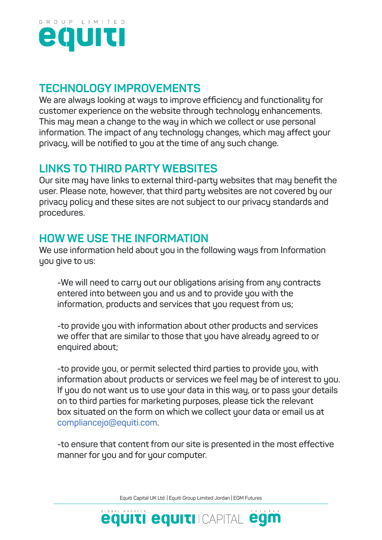

## **TECHNOLOGY IMPROVEMENTS**

**We are always looking at ways to improve efficiency and functionality for customer experience on the website through technology enhancements. This may mean a change to the way in which we collect or use personal information. The impact of any technology changes, which may affect your privacy, will be notified to you at the time of any such change.**

# **LINKS TO THIRD PARTY WEBSITES**

**Our site may have links to external third-party websites that may benefit the user. Please note, however, that third party websites are not covered by our privacy policy and these sites are not subject to our privacy standards and procedures.**

# **HOW WE USE THE INFORMATION**

**We use information held about you in the following ways from Information you give to us:**

**-We will need to carry out our obligations arising from any contracts entered into between you and us and to provide you with the information, products and services that you request from us;**

**-to provide you with information about other products and services we offer that are similar to those that you have already agreed to or enquired about;**

**-to provide you, or permit selected third parties to provide you, with information about products or services we feel may be of interest to you. If you do not want us to use your data in this way, or to pass your details on to third parties for marketing purposes, please tick the relevant box situated on the form on which we collect your data or email us at compliancejo@equiti.com.**

**-to ensure that content from our site is presented in the most effective manner for you and for your computer.**

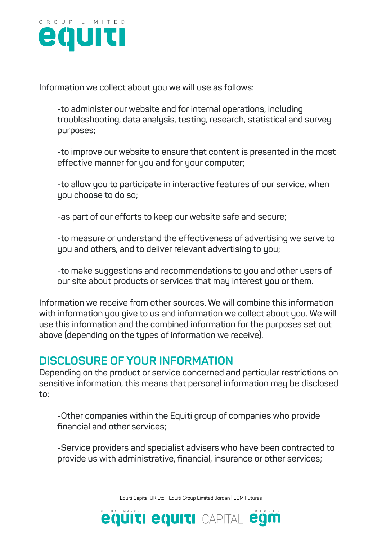

**Information we collect about you we will use as follows:**

**-to administer our website and for internal operations, including troubleshooting, data analysis, testing, research, statistical and survey purposes;**

**-to improve our website to ensure that content is presented in the most effective manner for you and for your computer;**

**-to allow you to participate in interactive features of our service, when you choose to do so;**

**-as part of our efforts to keep our website safe and secure;**

**-to measure or understand the effectiveness of advertising we serve to you and others, and to deliver relevant advertising to you;**

**-to make suggestions and recommendations to you and other users of our site about products or services that may interest you or them.**

**Information we receive from other sources. We will combine this information with information you give to us and information we collect about you. We will use this information and the combined information for the purposes set out above (depending on the types of information we receive).**

#### **DISCLOSURE OF YOUR INFORMATION**

**Depending on the product or service concerned and particular restrictions on sensitive information, this means that personal information may be disclosed to:**

**-Other companies within the Equiti group of companies who provide financial and other services;**

**-Service providers and specialist advisers who have been contracted to provide us with administrative, financial, insurance or other services;**

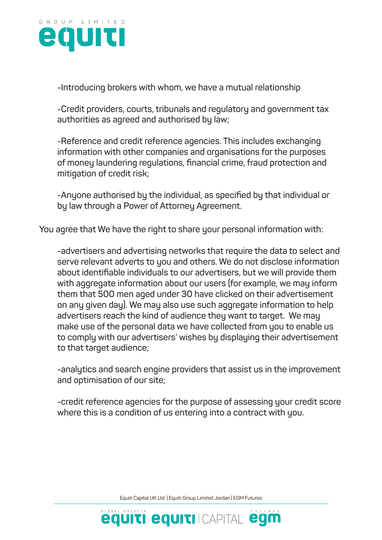

**-Introducing brokers with whom, we have a mutual relationship**

**-Credit providers, courts, tribunals and regulatory and government tax authorities as agreed and authorised by law;**

**-Reference and credit reference agencies. This includes exchanging information with other companies and organisations for the purposes of money laundering regulations, financial crime, fraud protection and mitigation of credit risk;**

**-Anyone authorised by the individual, as specified by that individual or by law through a Power of Attorney Agreement.**

**You agree that We have the right to share your personal information with:**

**-advertisers and advertising networks that require the data to select and serve relevant adverts to you and others. We do not disclose information about identifiable individuals to our advertisers, but we will provide them with aggregate information about our users (for example, we may inform them that 500 men aged under 30 have clicked on their advertisement on any given day). We may also use such aggregate information to help advertisers reach the kind of audience they want to target. We may make use of the personal data we have collected from you to enable us to comply with our advertisers' wishes by displaying their advertisement to that target audience;**

**-analytics and search engine providers that assist us in the improvement and optimisation of our site;**

**-credit reference agencies for the purpose of assessing your credit score where this is a condition of us entering into a contract with you.**

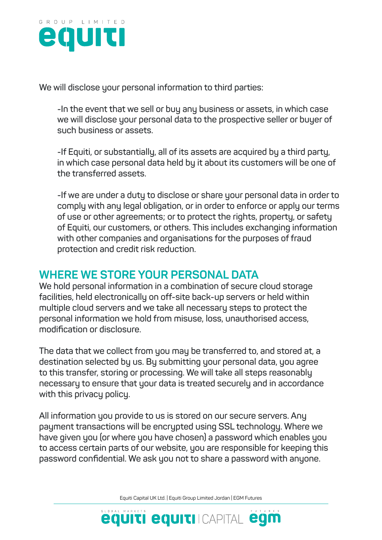

**We will disclose your personal information to third parties:**

**-In the event that we sell or buy any business or assets, in which case we will disclose your personal data to the prospective seller or buyer of such business or assets.**

**-If Equiti, or substantially, all of its assets are acquired by a third party, in which case personal data held by it about its customers will be one of the transferred assets.**

**-If we are under a duty to disclose or share your personal data in order to comply with any legal obligation, or in order to enforce or apply our terms of use or other agreements; or to protect the rights, property, or safety of Equiti, our customers, or others. This includes exchanging information with other companies and organisations for the purposes of fraud protection and credit risk reduction.**

# **WHERE WE STORE YOUR PERSONAL DATA**

**We hold personal information in a combination of secure cloud storage facilities, held electronically on off-site back-up servers or held within multiple cloud servers and we take all necessary steps to protect the personal information we hold from misuse, loss, unauthorised access, modification or disclosure.**

**The data that we collect from you may be transferred to, and stored at, a destination selected by us. By submitting your personal data, you agree to this transfer, storing or processing. We will take all steps reasonably necessary to ensure that your data is treated securely and in accordance with this privacy policy.**

**All information you provide to us is stored on our secure servers. Any payment transactions will be encrypted using SSL technology. Where we have given you (or where you have chosen) a password which enables you to access certain parts of our website, you are responsible for keeping this password confidential. We ask you not to share a password with anyone.**